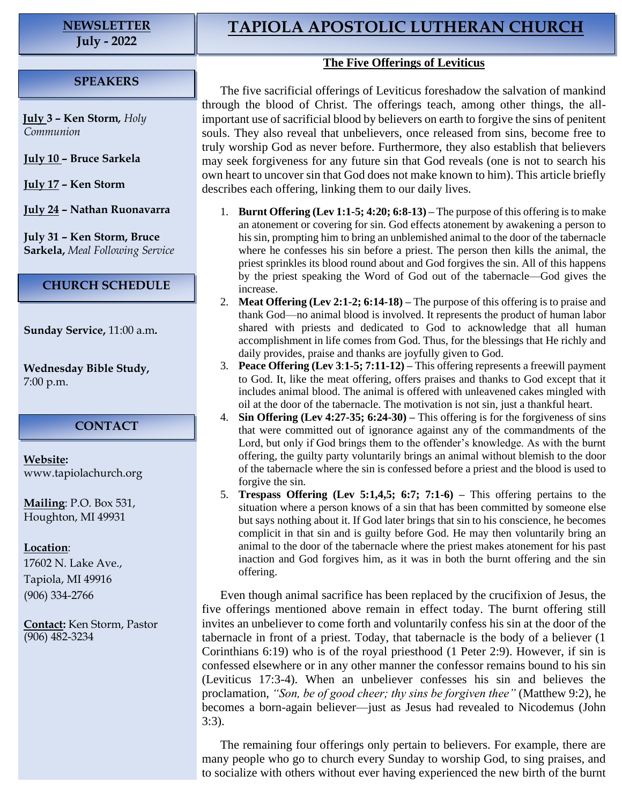# **NEWSLETTER**

**July - 2022**

### **SPEAKERS**

**July 3 – Ken Storm***, Holy Communion*

**July 10 – Bruce Sarkela**

**July 17 – Ken Storm**

**July 24 – Nathan Ruonavarra**

**July 31 – Ken Storm, Bruce Sarkela,** *Meal Following Service*

#### **CHURCH SCHEDULE**

**Sunday Service,** 11:00 a.m**.**

**Wednesday Bible Study,** 7:00 p.m.

#### **CONTACT**

**Website:**  [www.tapiolachurch.org](http://www.tapiolachurch.or/)

**Mailing**: P.O. Box 531, Houghton, MI 49931

#### **Location**:

17602 N. Lake Ave., Tapiola, MI 49916 (906) 334-2766

**Contact:** Ken Storm, Pastor (906) 482-3234

## **TAPIOLA APOSTOLIC LUTHERAN CHURCH**

#### **The Five Offerings of Leviticus**

The five sacrificial offerings of Leviticus foreshadow the salvation of mankind through the blood of Christ. The offerings teach, among other things, the allimportant use of sacrificial blood by believers on earth to forgive the sins of penitent souls. They also reveal that unbelievers, once released from sins, become free to truly worship God as never before. Furthermore, they also establish that believers may seek forgiveness for any future sin that God reveals (one is not to search his own heart to uncover sin that God does not make known to him). This article briefly describes each offering, linking them to our daily lives.

- 1. **Burnt Offering (Lev 1:1-5; 4:20; 6:8-13) –** The purpose of this offering is to make an atonement or covering for sin. God effects atonement by awakening a person to his sin, prompting him to bring an unblemished animal to the door of the tabernacle where he confesses his sin before a priest. The person then kills the animal, the priest sprinkles its blood round about and God forgives the sin. All of this happens by the priest speaking the Word of God out of the tabernacle—God gives the increase.
- 2. **Meat Offering (Lev 2:1-2; 6:14-18) –** The purpose of this offering is to praise and thank God—no animal blood is involved. It represents the product of human labor shared with priests and dedicated to God to acknowledge that all human accomplishment in life comes from God. Thus, for the blessings that He richly and daily provides, praise and thanks are joyfully given to God.
- 3. **Peace Offering (Lev 3**:**1-5; 7:11-12) –** This offering represents a freewill payment to God. It, like the meat offering, offers praises and thanks to God except that it includes animal blood. The animal is offered with unleavened cakes mingled with oil at the door of the tabernacle. The motivation is not sin, just a thankful heart.
- 4. **Sin Offering (Lev 4:27-35; 6:24-30) –** This offering is for the forgiveness of sins that were committed out of ignorance against any of the commandments of the Lord, but only if God brings them to the offender's knowledge. As with the burnt offering, the guilty party voluntarily brings an animal without blemish to the door of the tabernacle where the sin is confessed before a priest and the blood is used to forgive the sin.
- 5. **Trespass Offering (Lev 5:1,4,5; 6:7; 7:1-6) –** This offering pertains to the situation where a person knows of a sin that has been committed by someone else but says nothing about it. If God later brings that sin to his conscience, he becomes complicit in that sin and is guilty before God. He may then voluntarily bring an animal to the door of the tabernacle where the priest makes atonement for his past inaction and God forgives him, as it was in both the burnt offering and the sin offering.

Even though animal sacrifice has been replaced by the crucifixion of Jesus, the five offerings mentioned above remain in effect today. The burnt offering still invites an unbeliever to come forth and voluntarily confess his sin at the door of the tabernacle in front of a priest. Today, that tabernacle is the body of a believer (1 Corinthians 6:19) who is of the royal priesthood (1 Peter 2:9). However, if sin is confessed elsewhere or in any other manner the confessor remains bound to his sin (Leviticus 17:3-4). When an unbeliever confesses his sin and believes the proclamation, *"Son, be of good cheer; thy sins be forgiven thee"* (Matthew 9:2), he becomes a born-again believer—just as Jesus had revealed to Nicodemus (John 3:3).

The remaining four offerings only pertain to believers. For example, there are many people who go to church every Sunday to worship God, to sing praises, and to socialize with others without ever having experienced the new birth of the burnt